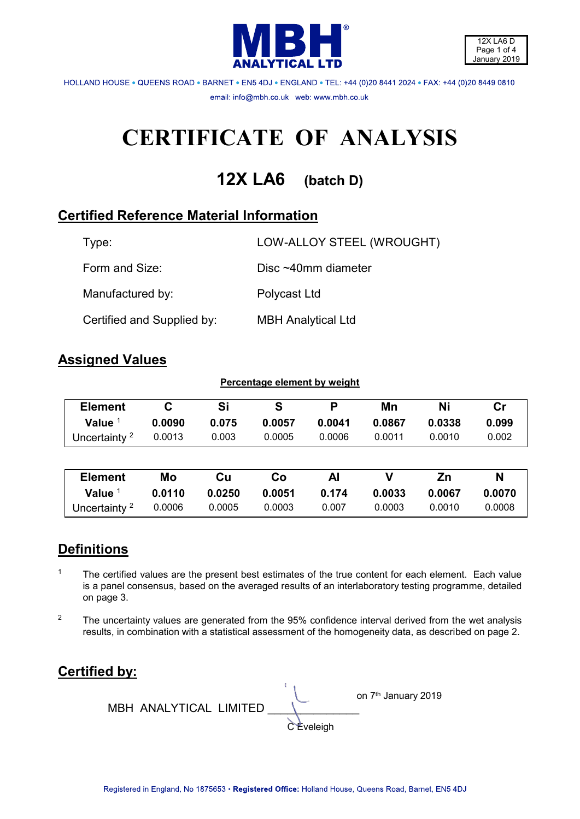



HOLLAND HOUSE . QUEENS ROAD . BARNET . ENS 4DJ . ENGLAND . TEL: +44 (0)20 8441 2024 . FAX: +44 (0)20 8449 0810 email: info@mbh.co.uk web: www.mbh.co.uk

# **CERTIFICATE OF ANALYSIS**

**12X LA6 (batch D)**

# **Certified Reference Material Information**

| Type:                      | LOW-ALLOY STEEL (WROUGHT) |
|----------------------------|---------------------------|
| Form and Size:             | Disc $~10$ mm diameter    |
| Manufactured by:           | Polycast Ltd              |
| Certified and Supplied by: | <b>MBH Analytical Ltd</b> |

## **Assigned Values**

| Percentage element by weight |        |        |        |        |        |        |               |
|------------------------------|--------|--------|--------|--------|--------|--------|---------------|
| <b>Element</b>               | C      | Si     | S      | P      | Mn     | Ni     | $\mathsf{Cr}$ |
| <b>Value</b>                 | 0.0090 | 0.075  | 0.0057 | 0.0041 | 0.0867 | 0.0338 | 0.099         |
| Uncertainty $2$              | 0.0013 | 0.003  | 0.0005 | 0.0006 | 0.0011 | 0.0010 | 0.002         |
|                              |        |        |        |        |        |        |               |
| <b>Element</b>               | Mo     | Cu     | Co     | Al     | ۷      | Zn     | N             |
| Value                        | 0.0110 | 0.0250 | 0.0051 | 0.174  | 0.0033 | 0.0067 | 0.0070        |
| Uncertainty <sup>2</sup>     | 0.0006 | 0.0005 | 0.0003 | 0.007  | 0.0003 | 0.0010 | 0.0008        |

# **Definitions**

- 1 The certified values are the present best estimates of the true content for each element. Each value is a panel consensus, based on the averaged results of an interlaboratory testing programme, detailed on page 3.
- <sup>2</sup> The uncertainty values are generated from the 95% confidence interval derived from the wet analysis results, in combination with a statistical assessment of the homogeneity data, as described on page 2.

# **Certified by:**

**on 7<sup>th</sup> January 2019**  MBH ANALYTICAL LIMITED \_\_\_\_\_\_\_\_\_\_\_\_\_\_ **C** Eveleigh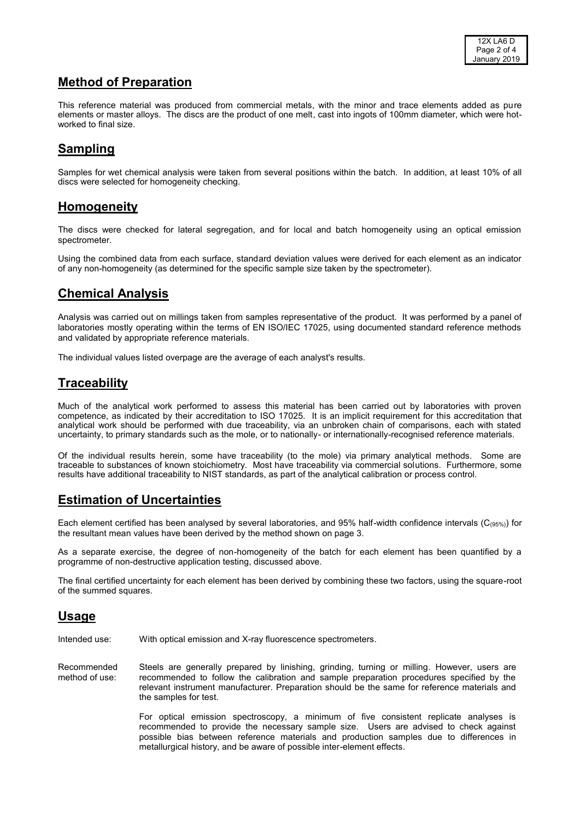### **Method of Preparation**

This reference material was produced from commercial metals, with the minor and trace elements added as pure elements or master alloys. The discs are the product of one melt, cast into ingots of 100mm diameter, which were hotworked to final size.

#### **Sampling**

Samples for wet chemical analysis were taken from several positions within the batch. In addition, at least 10% of all discs were selected for homogeneity checking.

#### **Homogeneity**

The discs were checked for lateral segregation, and for local and batch homogeneity using an optical emission spectrometer.

Using the combined data from each surface, standard deviation values were derived for each element as an indicator of any non-homogeneity (as determined for the specific sample size taken by the spectrometer).

## **Chemical Analysis**

Analysis was carried out on millings taken from samples representative of the product. It was performed by a panel of laboratories mostly operating within the terms of EN ISO/IEC 17025, using documented standard reference methods and validated by appropriate reference materials.

The individual values listed overpage are the average of each analyst's results.

#### **Traceability**

Much of the analytical work performed to assess this material has been carried out by laboratories with proven competence, as indicated by their accreditation to ISO 17025. It is an implicit requirement for this accreditation that analytical work should be performed with due traceability, via an unbroken chain of comparisons, each with stated uncertainty, to primary standards such as the mole, or to nationally- or internationally-recognised reference materials.

Of the individual results herein, some have traceability (to the mole) via primary analytical methods. Some are traceable to substances of known stoichiometry. Most have traceability via commercial solutions. Furthermore, some results have additional traceability to NIST standards, as part of the analytical calibration or process control.

## **Estimation of Uncertainties**

Each element certified has been analysed by several laboratories, and 95% half-width confidence intervals (C(95%)) for the resultant mean values have been derived by the method shown on page 3.

As a separate exercise, the degree of non-homogeneity of the batch for each element has been quantified by a programme of non-destructive application testing, discussed above.

The final certified uncertainty for each element has been derived by combining these two factors, using the square-root of the summed squares.

#### **Usage**

Intended use: With optical emission and X-ray fluorescence spectrometers.

Recommended method of use: Steels are generally prepared by linishing, grinding, turning or milling. However, users are recommended to follow the calibration and sample preparation procedures specified by the relevant instrument manufacturer. Preparation should be the same for reference materials and the samples for test.

> For optical emission spectroscopy, a minimum of five consistent replicate analyses is recommended to provide the necessary sample size. Users are advised to check against possible bias between reference materials and production samples due to differences in metallurgical history, and be aware of possible inter-element effects.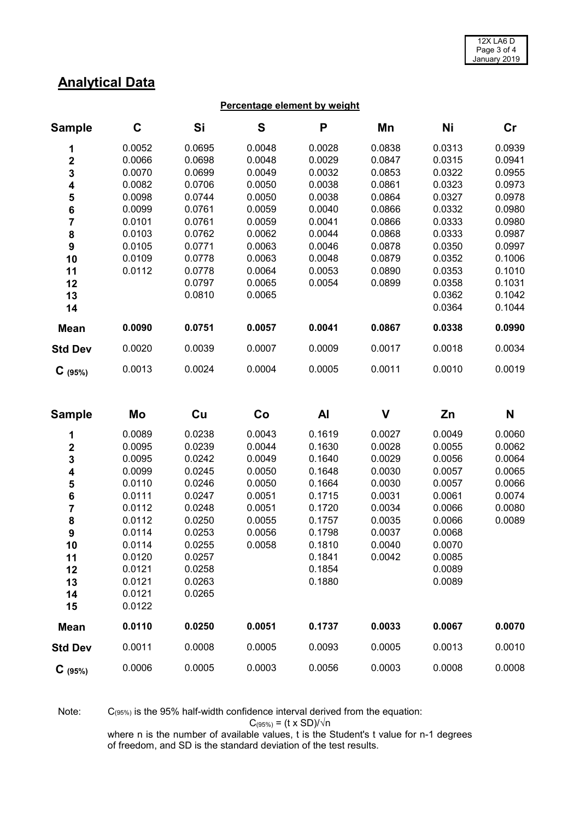# **Analytical Data**

#### **Percentage element by weight**

| <b>Sample</b>  | C      | Si     | S      | P      | Mn     | Ni     | cr     |
|----------------|--------|--------|--------|--------|--------|--------|--------|
| 1              | 0.0052 | 0.0695 | 0.0048 | 0.0028 | 0.0838 | 0.0313 | 0.0939 |
| $\mathbf{2}$   | 0.0066 | 0.0698 | 0.0048 | 0.0029 | 0.0847 | 0.0315 | 0.0941 |
| 3              | 0.0070 | 0.0699 | 0.0049 | 0.0032 | 0.0853 | 0.0322 | 0.0955 |
| 4              | 0.0082 | 0.0706 | 0.0050 | 0.0038 | 0.0861 | 0.0323 | 0.0973 |
| 5              | 0.0098 | 0.0744 | 0.0050 | 0.0038 | 0.0864 | 0.0327 | 0.0978 |
| 6              | 0.0099 | 0.0761 | 0.0059 | 0.0040 | 0.0866 | 0.0332 | 0.0980 |
| 7              | 0.0101 | 0.0761 | 0.0059 | 0.0041 | 0.0866 | 0.0333 | 0.0980 |
| 8              | 0.0103 | 0.0762 | 0.0062 | 0.0044 | 0.0868 | 0.0333 | 0.0987 |
| 9              | 0.0105 | 0.0771 | 0.0063 | 0.0046 | 0.0878 | 0.0350 | 0.0997 |
| 10             | 0.0109 | 0.0778 | 0.0063 | 0.0048 | 0.0879 | 0.0352 | 0.1006 |
| 11             | 0.0112 | 0.0778 | 0.0064 | 0.0053 | 0.0890 | 0.0353 | 0.1010 |
| 12             |        | 0.0797 | 0.0065 | 0.0054 | 0.0899 | 0.0358 | 0.1031 |
| 13             |        | 0.0810 | 0.0065 |        |        | 0.0362 | 0.1042 |
| 14             |        |        |        |        |        | 0.0364 | 0.1044 |
| <b>Mean</b>    | 0.0090 | 0.0751 | 0.0057 | 0.0041 | 0.0867 | 0.0338 | 0.0990 |
| <b>Std Dev</b> | 0.0020 | 0.0039 | 0.0007 | 0.0009 | 0.0017 | 0.0018 | 0.0034 |
| $C$ (95%)      | 0.0013 | 0.0024 | 0.0004 | 0.0005 | 0.0011 | 0.0010 | 0.0019 |

| <b>Sample</b>           | Mo     | Cu     | Co     | <b>Al</b> | $\mathsf{V}$ | Zn     | N      |
|-------------------------|--------|--------|--------|-----------|--------------|--------|--------|
| 1                       | 0.0089 | 0.0238 | 0.0043 | 0.1619    | 0.0027       | 0.0049 | 0.0060 |
| $\overline{\mathbf{2}}$ | 0.0095 | 0.0239 | 0.0044 | 0.1630    | 0.0028       | 0.0055 | 0.0062 |
| 3                       | 0.0095 | 0.0242 | 0.0049 | 0.1640    | 0.0029       | 0.0056 | 0.0064 |
| 4                       | 0.0099 | 0.0245 | 0.0050 | 0.1648    | 0.0030       | 0.0057 | 0.0065 |
| 5                       | 0.0110 | 0.0246 | 0.0050 | 0.1664    | 0.0030       | 0.0057 | 0.0066 |
| 6                       | 0.0111 | 0.0247 | 0.0051 | 0.1715    | 0.0031       | 0.0061 | 0.0074 |
| 7                       | 0.0112 | 0.0248 | 0.0051 | 0.1720    | 0.0034       | 0.0066 | 0.0080 |
| 8                       | 0.0112 | 0.0250 | 0.0055 | 0.1757    | 0.0035       | 0.0066 | 0.0089 |
| $\boldsymbol{9}$        | 0.0114 | 0.0253 | 0.0056 | 0.1798    | 0.0037       | 0.0068 |        |
| 10                      | 0.0114 | 0.0255 | 0.0058 | 0.1810    | 0.0040       | 0.0070 |        |
| 11                      | 0.0120 | 0.0257 |        | 0.1841    | 0.0042       | 0.0085 |        |
| 12                      | 0.0121 | 0.0258 |        | 0.1854    |              | 0.0089 |        |
| 13                      | 0.0121 | 0.0263 |        | 0.1880    |              | 0.0089 |        |
| 14                      | 0.0121 | 0.0265 |        |           |              |        |        |
| 15                      | 0.0122 |        |        |           |              |        |        |
| <b>Mean</b>             | 0.0110 | 0.0250 | 0.0051 | 0.1737    | 0.0033       | 0.0067 | 0.0070 |
| <b>Std Dev</b>          | 0.0011 | 0.0008 | 0.0005 | 0.0093    | 0.0005       | 0.0013 | 0.0010 |
| $C_{(95%)}$             | 0.0006 | 0.0005 | 0.0003 | 0.0056    | 0.0003       | 0.0008 | 0.0008 |

Note: C(95%) is the 95% half-width confidence interval derived from the equation:

 $C_{(95\%)} = (t \times SD)/\sqrt{n}$ 

where n is the number of available values, t is the Student's t value for n-1 degrees of freedom, and SD is the standard deviation of the test results.